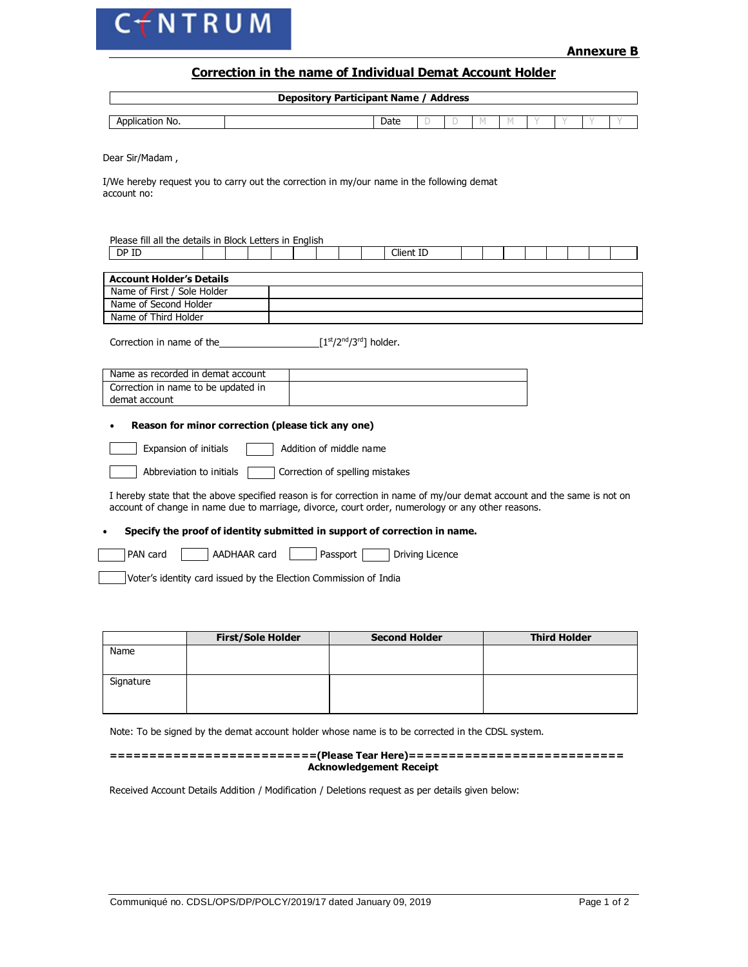

## **Correction in the name of Individual Demat Account Holder**

| <b>Depository Participant Name / Address</b> |  |      |  |  |  |  |  |  |  |  |  |  |
|----------------------------------------------|--|------|--|--|--|--|--|--|--|--|--|--|
|                                              |  |      |  |  |  |  |  |  |  |  |  |  |
| Application No.                              |  | Date |  |  |  |  |  |  |  |  |  |  |

Dear Sir/Madam ,

I/We hereby request you to carry out the correction in my/our name in the following demat account no:

| Please fill all the details in Block Letters in English                                                                                                                                                                      |  |                                                 |  |                 |  |  |  |  |  |  |  |
|------------------------------------------------------------------------------------------------------------------------------------------------------------------------------------------------------------------------------|--|-------------------------------------------------|--|-----------------|--|--|--|--|--|--|--|
| DP ID                                                                                                                                                                                                                        |  |                                                 |  | Client ID       |  |  |  |  |  |  |  |
|                                                                                                                                                                                                                              |  |                                                 |  |                 |  |  |  |  |  |  |  |
| <b>Account Holder's Details</b>                                                                                                                                                                                              |  |                                                 |  |                 |  |  |  |  |  |  |  |
| Name of First / Sole Holder                                                                                                                                                                                                  |  |                                                 |  |                 |  |  |  |  |  |  |  |
| Name of Second Holder                                                                                                                                                                                                        |  |                                                 |  |                 |  |  |  |  |  |  |  |
| Name of Third Holder                                                                                                                                                                                                         |  |                                                 |  |                 |  |  |  |  |  |  |  |
| Correction in name of the                                                                                                                                                                                                    |  | [1st/2 <sup>nd</sup> /3 <sup>rd</sup> ] holder. |  |                 |  |  |  |  |  |  |  |
| Name as recorded in demat account                                                                                                                                                                                            |  |                                                 |  |                 |  |  |  |  |  |  |  |
| Correction in name to be updated in                                                                                                                                                                                          |  |                                                 |  |                 |  |  |  |  |  |  |  |
| demat account                                                                                                                                                                                                                |  |                                                 |  |                 |  |  |  |  |  |  |  |
| Reason for minor correction (please tick any one)                                                                                                                                                                            |  |                                                 |  |                 |  |  |  |  |  |  |  |
| Expansion of initials                                                                                                                                                                                                        |  | Addition of middle name                         |  |                 |  |  |  |  |  |  |  |
| Abbreviation to initials                                                                                                                                                                                                     |  | Correction of spelling mistakes                 |  |                 |  |  |  |  |  |  |  |
| I hereby state that the above specified reason is for correction in name of my/our demat account and the same is not on<br>account of change in name due to marriage, divorce, court order, numerology or any other reasons. |  |                                                 |  |                 |  |  |  |  |  |  |  |
| Specify the proof of identity submitted in support of correction in name.                                                                                                                                                    |  |                                                 |  |                 |  |  |  |  |  |  |  |
| <b>PAN</b> card<br>AADHAAR card                                                                                                                                                                                              |  | Passport                                        |  | Driving Licence |  |  |  |  |  |  |  |

Voter's identity card issued by the Election Commission of India

|           | <b>First/Sole Holder</b> | <b>Second Holder</b> | <b>Third Holder</b> |
|-----------|--------------------------|----------------------|---------------------|
| Name      |                          |                      |                     |
| Signature |                          |                      |                     |

Note: To be signed by the demat account holder whose name is to be corrected in the CDSL system.

**==========================(Please Tear Here)=========================== Acknowledgement Receipt**

Received Account Details Addition / Modification / Deletions request as per details given below: